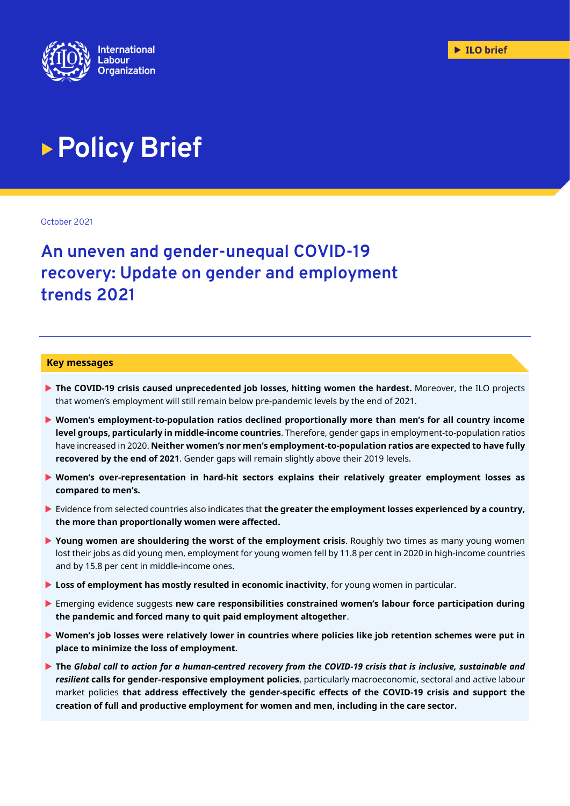

# **Policy Brief**

October 2021

# **An uneven and gender-unequal COVID-19 recovery: Update on gender and employment trends 2021**

#### **Key messages**

- **The COVID-19 crisis caused unprecedented job losses, hitting women the hardest.** Moreover, the ILO projects that women's employment will still remain below pre-pandemic levels by the end of 2021.
- **Women's employment-to-population ratios declined proportionally more than men's for all country income level groups, particularly in middle-income countries**. Therefore, gender gaps in employment-to-population ratios have increased in 2020. **Neither women's nor men's employment-to-population ratios are expected to have fully recovered by the end of 2021**. Gender gaps will remain slightly above their 2019 levels.
- **Women's over-representation in hard-hit sectors explains their relatively greater employment losses as compared to men's.**
- Evidence from selected countries also indicates that **the greater the employment losses experienced by a country, the more than proportionally women were affected.**
- **Young women are shouldering the worst of the employment crisis**. Roughly two times as many young women lost their jobs as did young men, employment for young women fell by 11.8 per cent in 2020 in high-income countries and by 15.8 per cent in middle-income ones.
- **Loss of employment has mostly resulted in economic inactivity**, for young women in particular.
- Emerging evidence suggests **new care responsibilities constrained women's labour force participation during the pandemic and forced many to quit paid employment altogether**.
- **Women's job losses were relatively lower in countries where policies like job retention schemes were put in place to minimize the loss of employment.**
- **The** *Global call to action for a human-centred recovery from the COVID-19 crisis that is inclusive, sustainable and resilient* **calls for gender-responsive employment policies**, particularly macroeconomic, sectoral and active labour market policies **that address effectively the gender-specific effects of the COVID-19 crisis and support the creation of full and productive employment for women and men, including in the care sector.**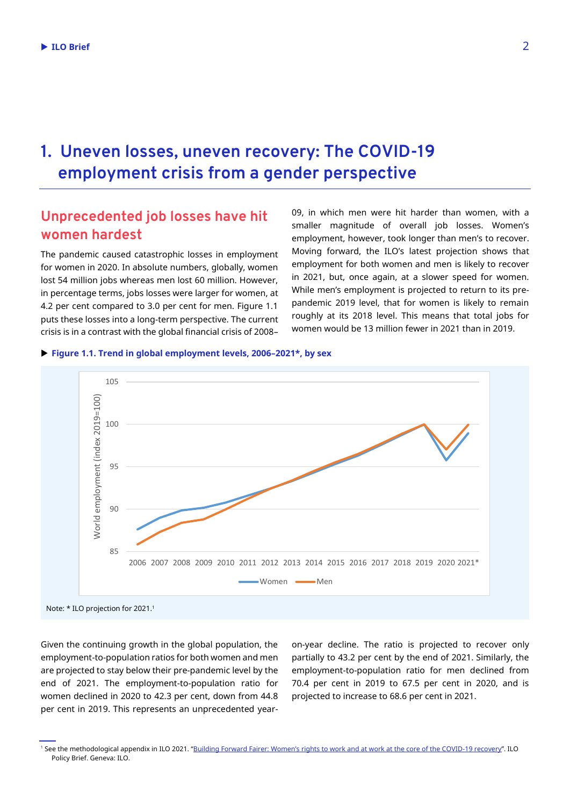## **1. Uneven losses, uneven recovery: The COVID-19 employment crisis from a gender perspective**

### **Unprecedented job losses have hit women hardest**

The pandemic caused catastrophic losses in employment for women in 2020. In absolute numbers, globally, women lost 54 million jobs whereas men lost 60 million. However, in percentage terms, jobs losses were larger for women, at 4.2 per cent compared to 3.0 per cent for men. Figure 1.1 puts these losses into a long-term perspective. The current crisis is in a contrast with the global financial crisis of 2008–

09, in which men were hit harder than women, with a smaller magnitude of overall job losses. Women's employment, however, took longer than men's to recover. Moving forward, the ILO's latest projection shows that employment for both women and men is likely to recover in 2021, but, once again, at a slower speed for women. While men's employment is projected to return to its prepandemic 2019 level, that for women is likely to remain roughly at its 2018 level. This means that total jobs for women would be 13 million fewer in 2021 than in 2019.

#### **Figure 1.1. Trend in global employment levels, 2006–2021\*, by sex**



Given the continuing growth in the global population, the employment-to-population ratios for both women and men are projected to stay below their pre-pandemic level by the end of 2021. The employment-to-population ratio for women declined in 2020 to 42.3 per cent, down from 44.8 per cent in 2019. This represents an unprecedented yearon-year decline. The ratio is projected to recover only partially to 43.2 per cent by the end of 2021. Similarly, the employment-to-population ratio for men declined from 70.4 per cent in 2019 to 67.5 per cent in 2020, and is projected to increase to 68.6 per cent in 2021.

<sup>1</sup> See the methodological appendix in ILO 2021. "Building Forward Fairer: Women's [rights to work and at work at the core of the COVID-19 recovery](https://www.ilo.org/gender/Informationresources/Publications/WCMS_814499/lang--en/index.htm)". ILO Policy Brief. Geneva: ILO.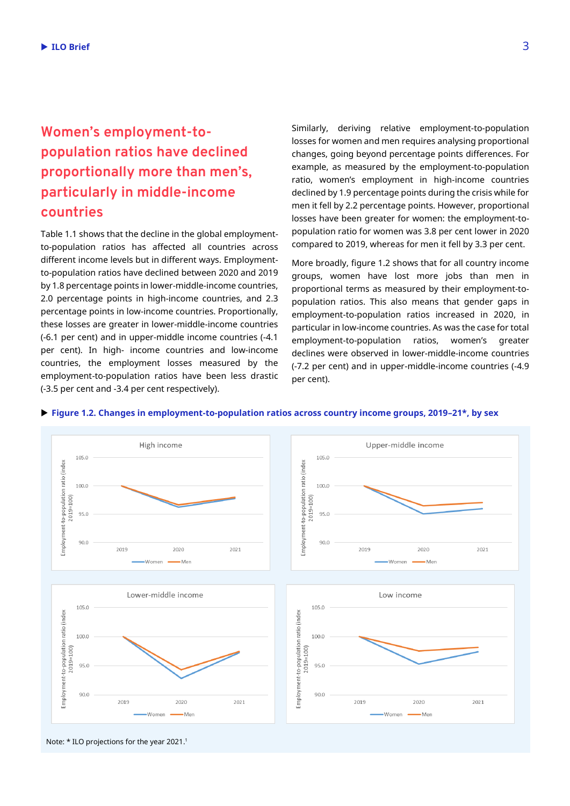### **Women's employment-topopulation ratios have declined proportionally more than men's, particularly in middle-income countries**

Table 1.1 shows that the decline in the global employmentto-population ratios has affected all countries across different income levels but in different ways. Employmentto-population ratios have declined between 2020 and 2019 by 1.8 percentage points in lower-middle-income countries, 2.0 percentage points in high-income countries, and 2.3 percentage points in low-income countries. Proportionally, these losses are greater in lower-middle-income countries (-6.1 per cent) and in upper-middle income countries (-4.1 per cent). In high- income countries and low-income countries, the employment losses measured by the employment-to-population ratios have been less drastic (-3.5 per cent and -3.4 per cent respectively).

Similarly, deriving relative employment-to-population losses for women and men requires analysing proportional changes, going beyond percentage points differences. For example, as measured by the employment-to-population ratio, women's employment in high-income countries declined by 1.9 percentage points during the crisis while for men it fell by 2.2 percentage points. However, proportional losses have been greater for women: the employment-topopulation ratio for women was 3.8 per cent lower in 2020 compared to 2019, whereas for men it fell by 3.3 per cent.

More broadly, figure 1.2 shows that for all country income groups, women have lost more jobs than men in proportional terms as measured by their employment-topopulation ratios. This also means that gender gaps in employment-to-population ratios increased in 2020, in particular in low-income countries. As was the case for total employment-to-population ratios, women's greater declines were observed in lower-middle-income countries (-7.2 per cent) and in upper-middle-income countries (-4.9 per cent).



#### **Figure 1.2. Changes in employment-to-population ratios across country income groups, 2019–21\*, by sex**

Note: \* ILO projections for the year 2021. 1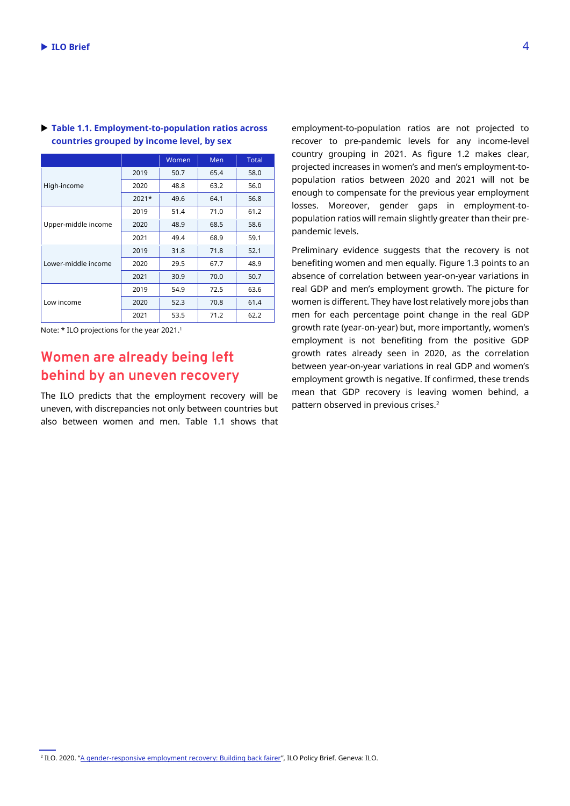|                     |       | Women | Men  | <b>Total</b> |
|---------------------|-------|-------|------|--------------|
| High-income         | 2019  | 50.7  | 65.4 | 58.0         |
|                     | 2020  | 48.8  | 63.2 | 56.0         |
|                     | 2021* | 49.6  | 64.1 | 56.8         |
| Upper-middle income | 2019  | 51.4  | 71.0 | 61.2         |
|                     | 2020  | 48.9  | 68.5 | 58.6         |
|                     | 2021  | 49.4  | 68.9 | 59.1         |
| Lower-middle income | 2019  | 31.8  | 71.8 | 52.1         |
|                     | 2020  | 29.5  | 67.7 | 48.9         |
|                     | 2021  | 30.9  | 70.0 | 50.7         |
| Low income          | 2019  | 54.9  | 72.5 | 63.6         |
|                     | 2020  | 52.3  | 70.8 | 61.4         |
|                     | 2021  | 53.5  | 71.2 | 62.2         |

#### **Table 1.1. Employment-to-population ratios across countries grouped by income level, by sex**

Note: \* ILO projections for the year 2021. 1

### **Women are already being left behind by an uneven recovery**

The ILO predicts that the employment recovery will be uneven, with discrepancies not only between countries but also between women and men. Table 1.1 shows that employment-to-population ratios are not projected to recover to pre-pandemic levels for any income-level country grouping in 2021. As figure 1.2 makes clear, projected increases in women's and men's employment-topopulation ratios between 2020 and 2021 will not be enough to compensate for the previous year employment losses. Moreover, gender gaps in employment-topopulation ratios will remain slightly greater than their prepandemic levels.

Preliminary evidence suggests that the recovery is not benefiting women and men equally. Figure 1.3 points to an absence of correlation between year-on-year variations in real GDP and men's employment growth. The picture for women is different. They have lost relatively more jobs than men for each percentage point change in the real GDP growth rate (year-on-year) but, more importantly, women's employment is not benefiting from the positive GDP growth rates already seen in 2020, as the correlation between year-on-year variations in real GDP and women's employment growth is negative. If confirmed, these trends mean that GDP recovery is leaving women behind, a pattern observed in previous crises. 2

<sup>&</sup>lt;sup>2</sup> ILO. 2020. "<u>[A gender-responsive employment recovery: Building back fairer](https://www.ilo.org/emppolicy/pubs/WCMS_751785/lang--en/index.htm)</u>", ILO Policy Brief. Geneva: ILO.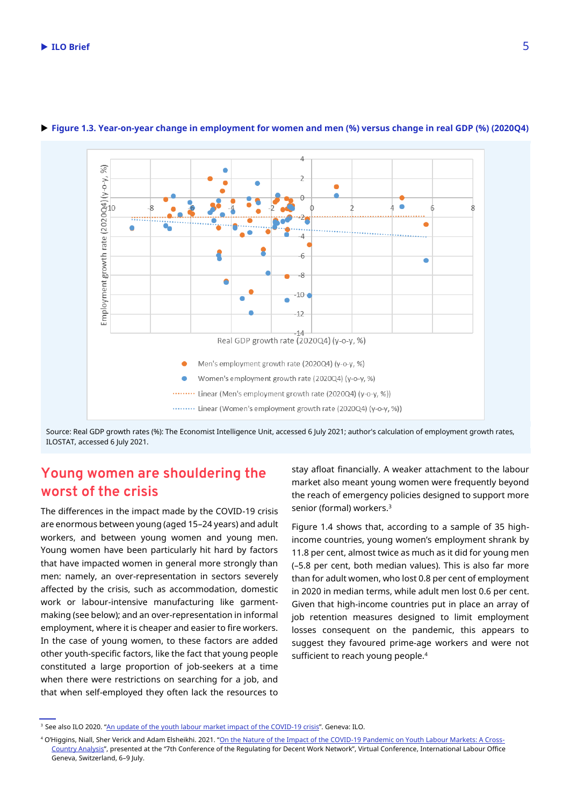

#### **Figure 1.3. Year-on-year change in employment for women and men (%) versus change in real GDP (%) (2020Q4)**

Source: Real GDP growth rates (%): The Economist Intelligence Unit, accessed 6 July 2021; author's calculation of employment growth rates, ILOSTAT, accessed 6 July 2021.

### **Young women are shouldering the worst of the crisis**

The differences in the impact made by the COVID-19 crisis are enormous between young (aged 15–24 years) and adult workers, and between young women and young men. Young women have been particularly hit hard by factors that have impacted women in general more strongly than men: namely, an over-representation in sectors severely affected by the crisis, such as accommodation, domestic work or labour-intensive manufacturing like garmentmaking (see below); and an over-representation in informal employment, where it is cheaper and easier to fire workers. In the case of young women, to these factors are added other youth-specific factors, like the fact that young people constituted a large proportion of job-seekers at a time when there were restrictions on searching for a job, and that when self-employed they often lack the resources to

stay afloat financially. A weaker attachment to the labour market also meant young women were frequently beyond the reach of emergency policies designed to support more senior (formal) workers. 3

Figure 1.4 shows that, according to a sample of 35 highincome countries, young women's employment shrank by 11.8 per cent, almost twice as much as it did for young men (–5.8 per cent, both median values). This is also far more than for adult women, who lost 0.8 per cent of employment in 2020 in median terms, while adult men lost 0.6 per cent. Given that high-income countries put in place an array of job retention measures designed to limit employment losses consequent on the pandemic, this appears to suggest they favoured prime-age workers and were not sufficient to reach young people. 4

<sup>&</sup>lt;sup>3</sup> See also ILO 2020. "[An update of the youth labour market impact of the COVID-19 crisis](https://www.ilo.org/emppolicy/pubs/WCMS_795479/lang--en/index.htm)". Geneva: ILO.

<sup>4</sup> O'Higgins, Niall, Sher Verick and Adam Elsheikhi. 2021. "[On the Nature of the Impact of the COVID-19 Pandemic on Youth Labour Markets: A Cross-](https://www.ilo.org/global/research/events-courses/rdw/7/WCMS_794440/lang--en/index.htm)[Country Analysis](https://www.ilo.org/global/research/events-courses/rdw/7/WCMS_794440/lang--en/index.htm)", presented at the "7th Conference of the Regulating for Decent Work Network", Virtual Conference, International Labour Office Geneva, Switzerland, 6–9 July.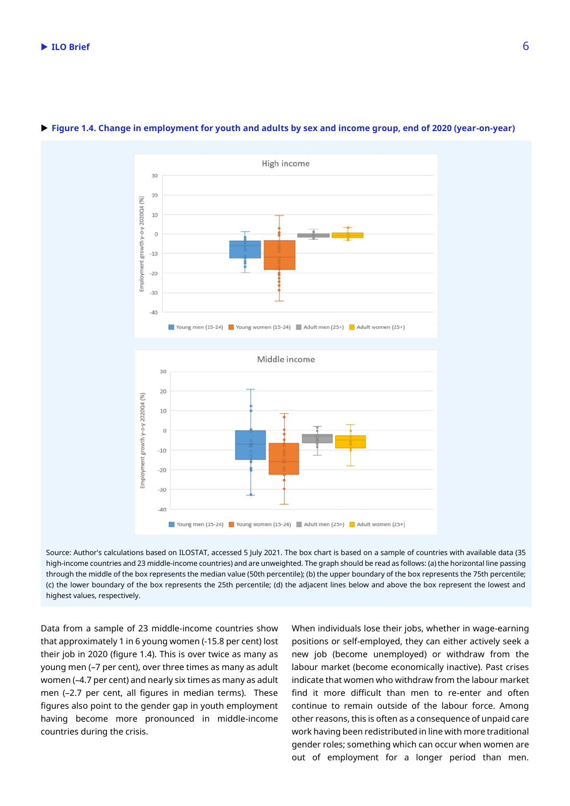

#### **Figure 1.4. Change in employment for youth and adults by sex and income group, end of 2020 (year-on-year)**

Source: Author's calculations based on ILOSTAT, accessed 5 July 2021. The box chart is based on a sample of countries with available data (35 high-income countries and 23 middle-income countries) and are unweighted. The graph should be read as follows: (a) the horizontal line passing through the middle of the box represents the median value (50th percentile); (b) the upper boundary of the box represents the 75th percentile; (c) the lower boundary of the box represents the 25th percentile; (d) the adjacent lines below and above the box represent the lowest and highest values, respectively.

Data from a sample of 23 middle-income countries show that approximately 1 in 6 young women (-15.8 per cent) lost their job in 2020 (figure 1.4). This is over twice as many as young men (–7 per cent), over three times as many as adult women (–4.7 per cent) and nearly six times as many as adult men (–2.7 per cent, all figures in median terms). These figures also point to the gender gap in youth employment having become more pronounced in middle-income countries during the crisis.

When individuals lose their jobs, whether in wage-earning positions or self-employed, they can either actively seek a new job (become unemployed) or withdraw from the labour market (become economically inactive). Past crises indicate that women who withdraw from the labour market find it more difficult than men to re-enter and often continue to remain outside of the labour force. Among other reasons, this is often as a consequence of unpaid care work having been redistributed in line with more traditional gender roles; something which can occur when women are out of employment for a longer period than men.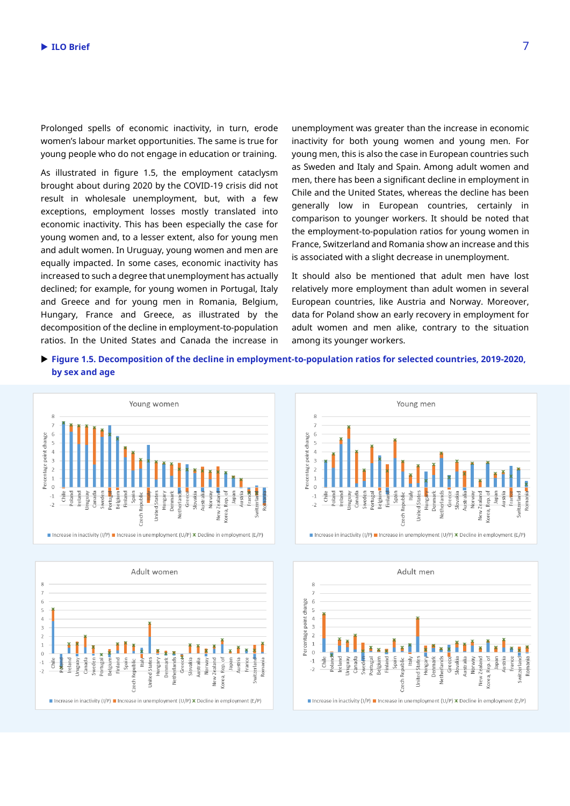Prolonged spells of economic inactivity, in turn, erode women's labour market opportunities. The same is true for young people who do not engage in education or training.

As illustrated in figure 1.5, the employment cataclysm brought about during 2020 by the COVID-19 crisis did not result in wholesale unemployment, but, with a few exceptions, employment losses mostly translated into economic inactivity. This has been especially the case for young women and, to a lesser extent, also for young men and adult women. In Uruguay, young women and men are equally impacted. In some cases, economic inactivity has increased to such a degree that unemployment has actually declined; for example, for young women in Portugal, Italy and Greece and for young men in Romania, Belgium, Hungary, France and Greece, as illustrated by the decomposition of the decline in employment-to-population ratios. In the United States and Canada the increase in

unemployment was greater than the increase in economic inactivity for both young women and young men. For young men, this is also the case in European countries such as Sweden and Italy and Spain. Among adult women and men, there has been a significant decline in employment in Chile and the United States, whereas the decline has been generally low in European countries, certainly in comparison to younger workers. It should be noted that the employment-to-population ratios for young women in France, Switzerland and Romania show an increase and this is associated with a slight decrease in unemployment.

It should also be mentioned that adult men have lost relatively more employment than adult women in several European countries, like Austria and Norway. Moreover, data for Poland show an early recovery in employment for adult women and men alike, contrary to the situation among its younger workers.

 **Figure 1.5. Decomposition of the decline in employment-to-population ratios for selected countries, 2019-2020, by sex and age**







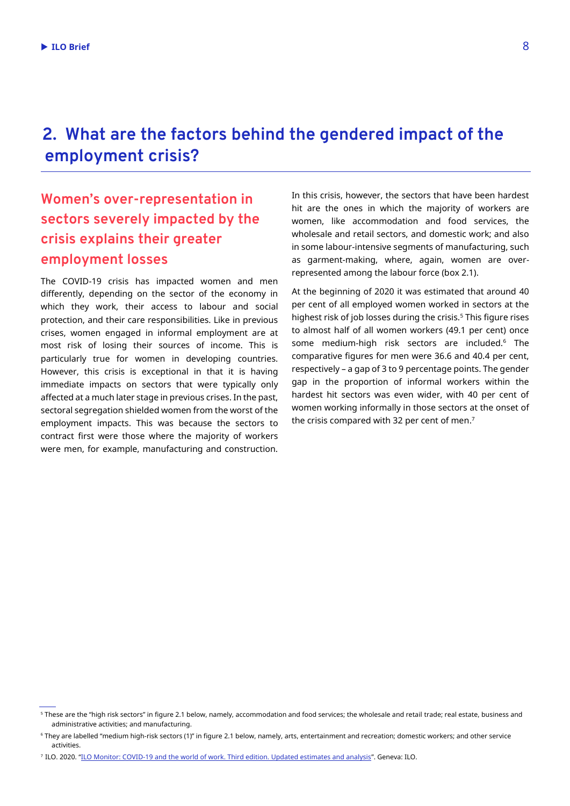# **2. What are the factors behind the gendered impact of the employment crisis?**

### **Women's over-representation in sectors severely impacted by the crisis explains their greater employment losses**

The COVID-19 crisis has impacted women and men differently, depending on the sector of the economy in which they work, their access to labour and social protection, and their care responsibilities. Like in previous crises, women engaged in informal employment are at most risk of losing their sources of income. This is particularly true for women in developing countries. However, this crisis is exceptional in that it is having immediate impacts on sectors that were typically only affected at a much later stage in previous crises. In the past, sectoral segregation shielded women from the worst of the employment impacts. This was because the sectors to contract first were those where the majority of workers were men, for example, manufacturing and construction. In this crisis, however, the sectors that have been hardest hit are the ones in which the majority of workers are women, like accommodation and food services, the wholesale and retail sectors, and domestic work; and also in some labour-intensive segments of manufacturing, such as garment-making, where, again, women are overrepresented among the labour force (box 2.1).

At the beginning of 2020 it was estimated that around 40 per cent of all employed women worked in sectors at the highest risk of job losses during the crisis.<sup>5</sup> This figure rises to almost half of all women workers (49.1 per cent) once some medium-high risk sectors are included.<sup>6</sup> The comparative figures for men were 36.6 and 40.4 per cent, respectively – a gap of 3 to 9 percentage points. The gender gap in the proportion of informal workers within the hardest hit sectors was even wider, with 40 per cent of women working informally in those sectors at the onset of the crisis compared with 32 per cent of men. $^7$ 

<sup>&</sup>lt;sup>5</sup> These are the "high risk sectors" in figure 2.1 below, namely, accommodation and food services; the wholesale and retail trade; real estate, business and administrative activities; and manufacturing.

<sup>6</sup> They are labelled "medium high-risk sectors (1)" in figure 2.1 below, namely, arts, entertainment and recreation; domestic workers; and other service activities.

<sup>7</sup> ILO. 2020. "[ILO Monitor: COVID-19 and the world of work. Third edition. Updated estimates and analysis](https://www.ilo.org/global/topics/coronavirus/impacts-and-responses/WCMS_743146/lang--en/index.htm)". Geneva: ILO.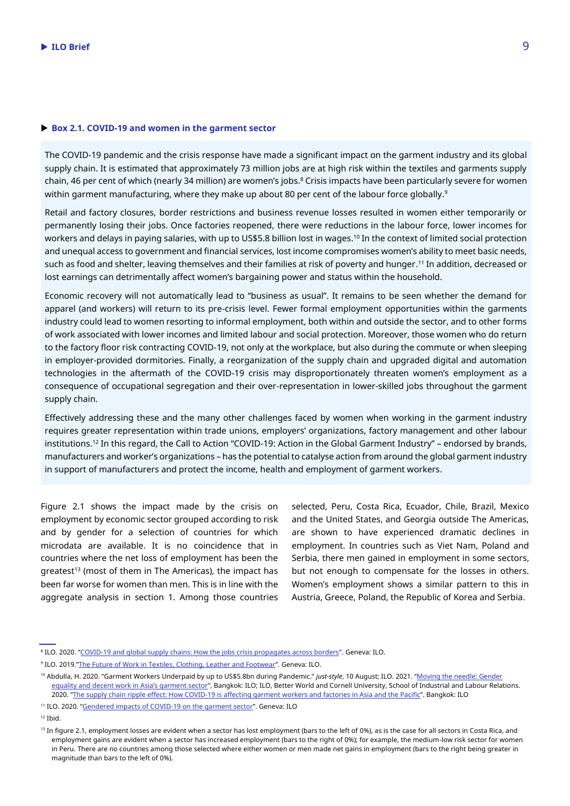#### ▶ Box 2.1. COVID-19 and women in the garment sector

The COVID-19 pandemic and the crisis response have made a significant impact on the garment industry and its global supply chain. It is estimated that approximately 73 million jobs are at high risk within the textiles and garments supply chain, 46 per cent of which (nearly 34 million) are women's jobs. <sup>8</sup> Crisis impacts have been particularly severe for women within garment manufacturing, where they make up about 80 per cent of the labour force globally. 9

Retail and factory closures, border restrictions and business revenue losses resulted in women either temporarily or permanently losing their jobs. Once factories reopened, there were reductions in the labour force, lower incomes for workers and delays in paying salaries, with up to US\$5.8 billion lost in wages. <sup>10</sup> In the context of limited social protection and unequal access to government and financial services, lost income compromises women's ability to meet basic needs, such as food and shelter, leaving themselves and their families at risk of poverty and hunger. <sup>11</sup> In addition, decreased or lost earnings can detrimentally affect women's bargaining power and status within the household.

Economic recovery will not automatically lead to "business as usual". It remains to be seen whether the demand for apparel (and workers) will return to its pre-crisis level. Fewer formal employment opportunities within the garments industry could lead to women resorting to informal employment, both within and outside the sector, and to other forms of work associated with lower incomes and limited labour and social protection. Moreover, those women who do return to the factory floor risk contracting COVID-19, not only at the workplace, but also during the commute or when sleeping in employer-provided dormitories. Finally, a reorganization of the supply chain and upgraded digital and automation technologies in the aftermath of the COVID-19 crisis may disproportionately threaten women's employment as a consequence of occupational segregation and their over-representation in lower-skilled jobs throughout the garment supply chain.

Effectively addressing these and the many other challenges faced by women when working in the garment industry requires greater representation within trade unions, employers' organizations, factory management and other labour institutions. <sup>12</sup> In this regard, the Call to Action "COVID-19: Action in the Global Garment Industry" – endorsed by brands, manufacturers and worker's organizations – has the potential to catalyse action from around the global garment industry in support of manufacturers and protect the income, health and employment of garment workers.

Figure 2.1 shows the impact made by the crisis on employment by economic sector grouped according to risk and by gender for a selection of countries for which microdata are available. It is no coincidence that in countries where the net loss of employment has been the greatest<sup>13</sup> (most of them in The Americas), the impact has been far worse for women than men. This is in line with the aggregate analysis in section 1. Among those countries

selected, Peru, Costa Rica, Ecuador, Chile, Brazil, Mexico and the United States, and Georgia outside The Americas, are shown to have experienced dramatic declines in employment. In countries such as Viet Nam, Poland and Serbia, there men gained in employment in some sectors, but not enough to compensate for the losses in others. Women's employment shows a similar pattern to this in Austria, Greece, Poland, the Republic of Korea and Serbia.

<sup>&</sup>lt;sup>8</sup> ILO. 2020. "[COVID-19 and global supply chains: How the jobs crisis propagates across borders"](https://www.ilo.org/global/research/policy-briefs/WCMS_749368/lang--en/index.htm). Geneva: ILO.

<sup>9</sup> ILO. 2019."[The Future of Work in Textiles, Clothing, Leather and Footwear](https://www.ilo.org/sector/Resources/publications/WCMS_669355/lang--en/index.htm)". Geneva: ILO.

<sup>10</sup> Abdulla, H. 2020. "Garment Workers Underpaid by up to US\$5.8bn during Pandemic." *just-style*, 10 August; ILO. 2021. "[Moving the needle: Gender](https://www.ilo.org/asia/publications/WCMS_789822/lang--en/index.htm)  [equality and decent work in Asia's garment sector"](https://www.ilo.org/asia/publications/WCMS_789822/lang--en/index.htm), Bangkok: ILO; ILO, Better World and Cornell University, School of Industrial and Labour Relations. 2020. "[The supply chain ripple effect: How COVID-19 is affecting garment workers and factories in Asia and the Pacific](https://www.ilo.org/asia/publications/issue-briefs/WCMS_758626/lang--en/index.htm)". Bangkok: ILO

<sup>&</sup>lt;sup>11</sup> ILO. 2020. "[Gendered impacts of COVID-19 on the garment sector](https://www.ilo.org/asia/publications/WCMS_760374/lang--en/index.htm)". Geneva: ILO

<sup>12</sup> Ibid.

<sup>&</sup>lt;sup>13</sup> In figure 2.1, employment losses are evident when a sector has lost employment (bars to the left of 0%), as is the case for all sectors in Costa Rica, and employment gains are evident when a sector has increased employment (bars to the right of 0%); for example, the medium-low risk sector for women in Peru. There are no countries among those selected where either women or men made net gains in employment (bars to the right being greater in magnitude than bars to the left of 0%).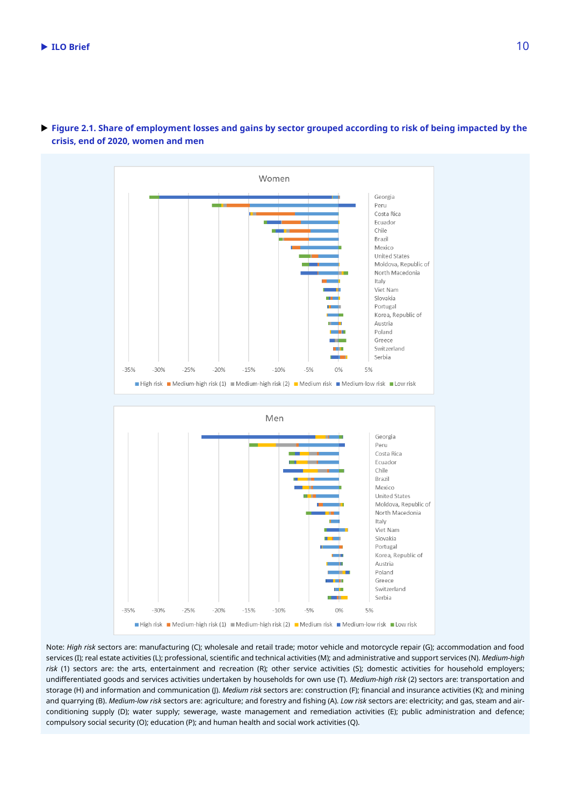

 **Figure 2.1. Share of employment losses and gains by sector grouped according to risk of being impacted by the crisis, end of 2020, women and men**

Note: *High risk* sectors are: manufacturing (C); wholesale and retail trade; motor vehicle and motorcycle repair (G); accommodation and food services (I); real estate activities (L); professional, scientific and technical activities (M); and administrative and support services (N). *Medium-high risk* (1) sectors are: the arts, entertainment and recreation (R); other service activities (S); domestic activities for household employers; undifferentiated goods and services activities undertaken by households for own use (T). *Medium-high risk* (2) sectors are: transportation and storage (H) and information and communication (J). *Medium risk* sectors are: construction (F); financial and insurance activities (K); and mining and quarrying (B). *Medium-low risk* sectors are: agriculture; and forestry and fishing (A). *Low risk* sectors are: electricity; and gas, steam and airconditioning supply (D); water supply; sewerage, waste management and remediation activities (E); public administration and defence; compulsory social security (O); education (P); and human health and social work activities (Q).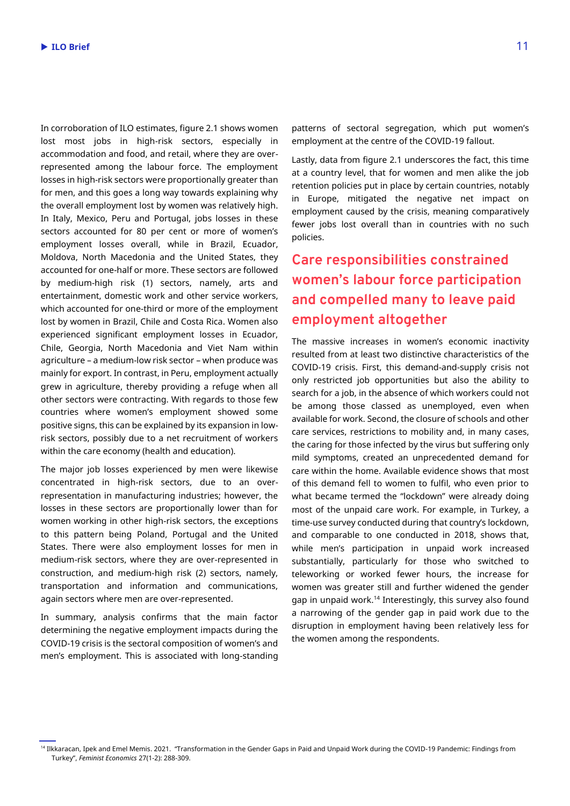In corroboration of ILO estimates, figure 2.1 shows women lost most jobs in high-risk sectors, especially in accommodation and food, and retail, where they are overrepresented among the labour force. The employment losses in high-risk sectors were proportionally greater than for men, and this goes a long way towards explaining why the overall employment lost by women was relatively high. In Italy, Mexico, Peru and Portugal, jobs losses in these sectors accounted for 80 per cent or more of women's employment losses overall, while in Brazil, Ecuador, Moldova, North Macedonia and the United States, they accounted for one-half or more. These sectors are followed by medium-high risk (1) sectors, namely, arts and entertainment, domestic work and other service workers, which accounted for one-third or more of the employment lost by women in Brazil, Chile and Costa Rica. Women also experienced significant employment losses in Ecuador, Chile, Georgia, North Macedonia and Viet Nam within agriculture – a medium-low risk sector – when produce was mainly for export. In contrast, in Peru, employment actually grew in agriculture, thereby providing a refuge when all other sectors were contracting. With regards to those few countries where women's employment showed some positive signs, this can be explained by its expansion in lowrisk sectors, possibly due to a net recruitment of workers within the care economy (health and education).

The major job losses experienced by men were likewise concentrated in high-risk sectors, due to an overrepresentation in manufacturing industries; however, the losses in these sectors are proportionally lower than for women working in other high-risk sectors, the exceptions to this pattern being Poland, Portugal and the United States. There were also employment losses for men in medium-risk sectors, where they are over-represented in construction, and medium-high risk (2) sectors, namely, transportation and information and communications, again sectors where men are over-represented.

In summary, analysis confirms that the main factor determining the negative employment impacts during the COVID-19 crisis is the sectoral composition of women's and men's employment. This is associated with long-standing patterns of sectoral segregation, which put women's employment at the centre of the COVID-19 fallout.

Lastly, data from figure 2.1 underscores the fact, this time at a country level, that for women and men alike the job retention policies put in place by certain countries, notably in Europe, mitigated the negative net impact on employment caused by the crisis, meaning comparatively fewer jobs lost overall than in countries with no such policies.

## **Care responsibilities constrained women's labour force participation and compelled many to leave paid employment altogether**

The massive increases in women's economic inactivity resulted from at least two distinctive characteristics of the COVID-19 crisis. First, this demand-and-supply crisis not only restricted job opportunities but also the ability to search for a job, in the absence of which workers could not be among those classed as unemployed, even when available for work. Second, the closure of schools and other care services, restrictions to mobility and, in many cases, the caring for those infected by the virus but suffering only mild symptoms, created an unprecedented demand for care within the home. Available evidence shows that most of this demand fell to women to fulfil, who even prior to what became termed the "lockdown" were already doing most of the unpaid care work. For example, in Turkey, a time-use survey conducted during that country's lockdown, and comparable to one conducted in 2018, shows that, while men's participation in unpaid work increased substantially, particularly for those who switched to teleworking or worked fewer hours, the increase for women was greater still and further widened the gender gap in unpaid work. <sup>14</sup> Interestingly, this survey also found a narrowing of the gender gap in paid work due to the disruption in employment having been relatively less for the women among the respondents.

<sup>&</sup>lt;sup>14</sup> Ilkkaracan, Ipek and Emel Memis. 2021. "Transformation in the Gender Gaps in Paid and Unpaid Work during the COVID-19 Pandemic: Findings from Turkey", *Feminist Economics* 27(1-2): 288-309.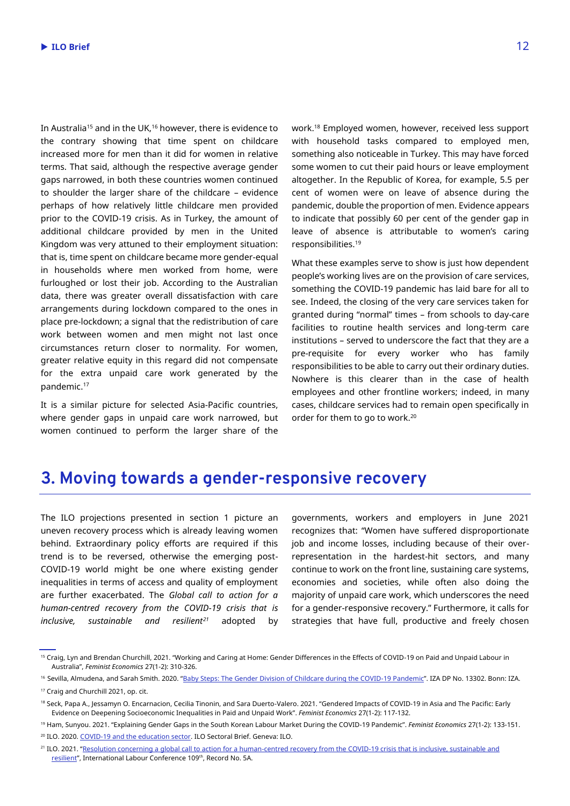In Australia<sup>15</sup> and in the UK, <sup>16</sup> however, there is evidence to the contrary showing that time spent on childcare increased more for men than it did for women in relative terms. That said, although the respective average gender gaps narrowed, in both these countries women continued to shoulder the larger share of the childcare – evidence perhaps of how relatively little childcare men provided prior to the COVID-19 crisis. As in Turkey, the amount of additional childcare provided by men in the United Kingdom was very attuned to their employment situation: that is, time spent on childcare became more gender-equal in households where men worked from home, were furloughed or lost their job. According to the Australian data, there was greater overall dissatisfaction with care arrangements during lockdown compared to the ones in place pre-lockdown; a signal that the redistribution of care work between women and men might not last once circumstances return closer to normality. For women, greater relative equity in this regard did not compensate for the extra unpaid care work generated by the pandemic. 17

It is a similar picture for selected Asia-Pacific countries, where gender gaps in unpaid care work narrowed, but women continued to perform the larger share of the

work. <sup>18</sup> Employed women, however, received less support with household tasks compared to employed men, something also noticeable in Turkey. This may have forced some women to cut their paid hours or leave employment altogether. In the Republic of Korea, for example, 5.5 per cent of women were on leave of absence during the pandemic, double the proportion of men. Evidence appears to indicate that possibly 60 per cent of the gender gap in leave of absence is attributable to women's caring responsibilities. 19

What these examples serve to show is just how dependent people's working lives are on the provision of care services, something the COVID-19 pandemic has laid bare for all to see. Indeed, the closing of the very care services taken for granted during "normal" times – from schools to day-care facilities to routine health services and long-term care institutions – served to underscore the fact that they are a pre-requisite for every worker who has family responsibilities to be able to carry out their ordinary duties. Nowhere is this clearer than in the case of health employees and other frontline workers; indeed, in many cases, childcare services had to remain open specifically in order for them to go to work. 20

### **3. Moving towards a gender-responsive recovery**

The ILO projections presented in section 1 picture an uneven recovery process which is already leaving women behind. Extraordinary policy efforts are required if this trend is to be reversed, otherwise the emerging post-COVID-19 world might be one where existing gender inequalities in terms of access and quality of employment are further exacerbated. The *Global call to action for a human-centred recovery from the COVID-19 crisis that is inclusive, sustainable and resilient<sup>21</sup>* adopted by

governments, workers and employers in June 2021 recognizes that: "Women have suffered disproportionate job and income losses, including because of their overrepresentation in the hardest-hit sectors, and many continue to work on the front line, sustaining care systems, economies and societies, while often also doing the majority of unpaid care work, which underscores the need for a gender-responsive recovery." Furthermore, it calls for strategies that have full, productive and freely chosen

<sup>&</sup>lt;sup>15</sup> Craig, Lyn and Brendan Churchill, 2021. "Working and Caring at Home: Gender Differences in the Effects of COVID-19 on Paid and Unpaid Labour in Australia", *Feminist Economics* 27(1-2): 310-326.

<sup>&</sup>lt;sup>16</sup> Sevilla, Almudena, and Sarah Smith. 2020. "[Baby Steps: The Gender Division of Childcare during the COVID-19 Pandemic](https://www.iza.org/de/publications/dp/13302/baby-steps-the-gender-division-of-childcare-during-the-covid-19-pandemic)". IZA DP No. 13302. Bonn: IZA.

<sup>17</sup> Craig and Churchill 2021, op. cit.

<sup>&</sup>lt;sup>18</sup> Seck, Papa A., Jessamyn O. Encarnacion, Cecilia Tinonin, and Sara Duerto-Valero. 2021. "Gendered Impacts of COVID-19 in Asia and The Pacific: Early Evidence on Deepening Socioeconomic Inequalities in Paid and Unpaid Work". *Feminist Economics* 27(1-2): 117-132.

<sup>19</sup> Ham, Sunyou. 2021. "Explaining Gender Gaps in the South Korean Labour Market During the COVID-19 Pandemic". *Feminist Economics* 27(1-2): 133-151. <sup>20</sup> ILO. 2020. [COVID-19 and the education sector.](https://www.ilo.org/wcmsp5/groups/public/---ed_dialogue/---sector/documents/briefingnote/wcms_742025.pdf) ILO Sectoral Brief. Geneva: ILO.

<sup>&</sup>lt;sup>21</sup> ILO. 2021. "Resolution concerning a global call to action for a human-centred recovery from the COVID-19 crisis that is inclusive, sustainable and <u>[resilient](https://www.ilo.org/ilc/ILCSessions/109/reports/provisional-records/WCMS_803428/lang--en/index.htm)</u>", International Labour Conference 109th, Record No. 5A.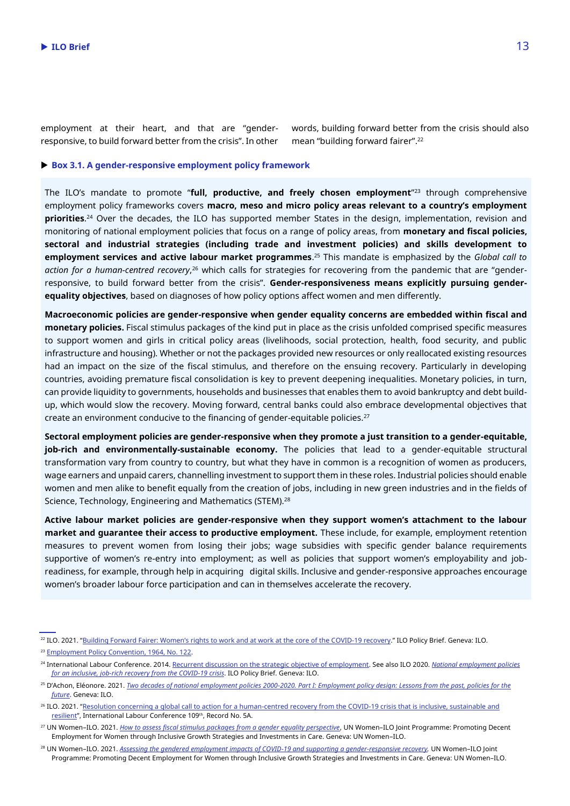employment at their heart, and that are "genderresponsive, to build forward better from the crisis". In other words, building forward better from the crisis should also mean "building forward fairer". 22

#### **Box 3.1. A gender-responsive employment policy framework**

The ILO's mandate to promote "**full, productive, and freely chosen employment**" <sup>23</sup> through comprehensive employment policy frameworks covers **macro, meso and micro policy areas relevant to a country's employment priorities**. <sup>24</sup> Over the decades, the ILO has supported member States in the design, implementation, revision and monitoring of national employment policies that focus on a range of policy areas, from **monetary and fiscal policies, sectoral and industrial strategies (including trade and investment policies) and skills development to employment services and active labour market programmes**. <sup>25</sup> This mandate is emphasized by the *Global call to action for a human-centred recovery*, <sup>26</sup> which calls for strategies for recovering from the pandemic that are "genderresponsive, to build forward better from the crisis". **Gender-responsiveness means explicitly pursuing genderequality objectives**, based on diagnoses of how policy options affect women and men differently.

**Macroeconomic policies are gender-responsive when gender equality concerns are embedded within fiscal and monetary policies.** Fiscal stimulus packages of the kind put in place as the crisis unfolded comprised specific measures to support women and girls in critical policy areas (livelihoods, social protection, health, food security, and public infrastructure and housing). Whether or not the packages provided new resources or only reallocated existing resources had an impact on the size of the fiscal stimulus, and therefore on the ensuing recovery. Particularly in developing countries, avoiding premature fiscal consolidation is key to prevent deepening inequalities. Monetary policies, in turn, can provide liquidity to governments, households and businesses that enables them to avoid bankruptcy and debt buildup, which would slow the recovery. Moving forward, central banks could also embrace developmental objectives that create an environment conducive to the financing of gender-equitable policies.<sup>27</sup>

**Sectoral employment policies are gender-responsive when they promote a just transition to a gender-equitable, job-rich and environmentally-sustainable economy.** The policies that lead to a gender-equitable structural transformation vary from country to country, but what they have in common is a recognition of women as producers, wage earners and unpaid carers, channelling investment to support them in these roles. Industrial policies should enable women and men alike to benefit equally from the creation of jobs, including in new green industries and in the fields of Science, Technology, Engineering and Mathematics (STEM).<sup>28</sup>

**Active labour market policies are gender-responsive when they support women's attachment to the labour market and guarantee their access to productive employment.** These include, for example, employment retention measures to prevent women from losing their jobs; wage subsidies with specific gender balance requirements supportive of women's re-entry into employment; as well as policies that support women's employability and jobreadiness, for example, through help in acquiring digital skills. Inclusive and gender-responsive approaches encourage women's broader labour force participation and can in themselves accelerate the recovery.

<sup>&</sup>lt;sup>22</sup> ILO. 2021. ["Building Forward Fairer: Women's rights to work and at work at the core of](https://www.ilo.org/gender/Informationresources/Publications/WCMS_814499/lang--en/index.htm) the COVID-19 recovery." ILO Policy Brief. Geneva: ILO. <sup>23</sup> [Employment Policy Convention, 1964, No. 122.](https://www.ilo.org/dyn/normlex/en/f?p=NORMLEXPUB:12100:0::NO::P12100_INSTRUMENT_ID:312267)

<sup>24</sup> International Labour Conference. 2014. [Recurrent discussion on the strategic objective of employment.](https://www.ilo.org/ilc/ILCSessions/previous-sessions/103/on-the-agenda/employment/lang--en/index.htm) See also ILO 2020. *[National employment policies](https://www.ilo.org/employment/Whatwedo/Publications/policy-briefs/WCMS_756676/lang--en/index.htm)  [for an inclusive, job-rich recovery from the COVID-19 crisis](https://www.ilo.org/employment/Whatwedo/Publications/policy-briefs/WCMS_756676/lang--en/index.htm)*. ILO Policy Brief. Geneva: ILO.

<sup>&</sup>lt;sup>25</sup> D'Achon, Eléonore. 2021. *Two decades of national employment policies 2000-2020. Part I: Employment policy design: Lessons from the past, policies for the [future](https://www.ilo.org/global/topics/youth-employment/publications/WCMS_817748/lang--en/index.htm)*. Geneva: ILO.

<sup>&</sup>lt;sup>26</sup> ILO. 2021. "Resolution concerning a global call to action for a human-centred recovery from the COVID-19 crisis that is inclusive, sustainable and [resilient](https://www.ilo.org/ilc/ILCSessions/109/reports/provisional-records/WCMS_803428/lang--en/index.htm)", International Labour Conference 109<sup>th</sup>, Record No. 5A.

<sup>27</sup> UN Women–ILO. 2021. *[How to assess fiscal stimulus packages from a gender equality perspective](https://www.ilo.org/employment/Whatwedo/Publications/WCMS_766991/lang--en/index.htm)*, UN Women–ILO Joint Programme: Promoting Decent Employment for Women through Inclusive Growth Strategies and Investments in Care. Geneva: UN Women–ILO.

<sup>28</sup> UN Women–ILO. 2021. *[Assessing the gendered employment impacts of COVID-19 and supporting a gender-responsive recovery.](https://www.ilo.org/employment/Whatwedo/Publications/WCMS_778847/lang--en/index.htm)* UN Women–ILO Joint Programme: Promoting Decent Employment for Women through Inclusive Growth Strategies and Investments in Care. Geneva: UN Women–ILO.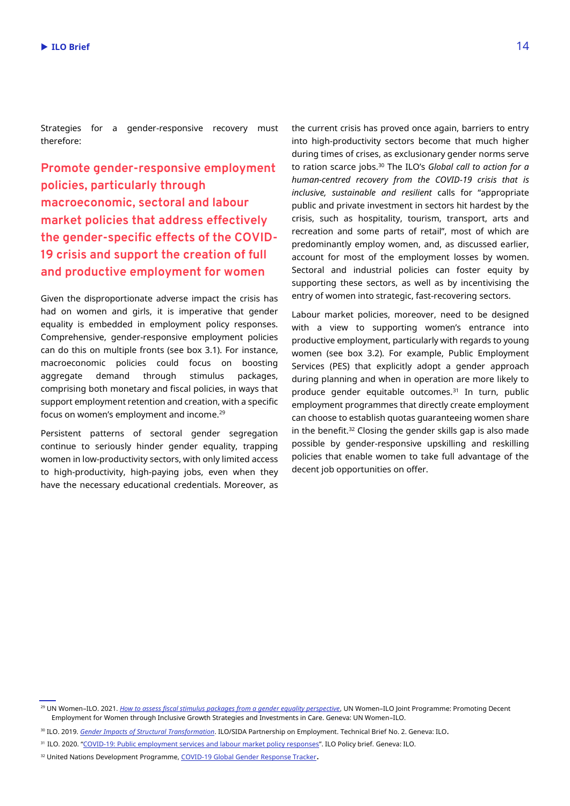Strategies for a gender-responsive recovery must therefore:

**Promote gender-responsive employment policies, particularly through macroeconomic, sectoral and labour market policies that address effectively the gender-specific effects of the COVID-19 crisis and support the creation of full and productive employment for women**

Given the disproportionate adverse impact the crisis has had on women and girls, it is imperative that gender equality is embedded in employment policy responses. Comprehensive, gender-responsive employment policies can do this on multiple fronts (see box 3.1). For instance, macroeconomic policies could focus on boosting aggregate demand through stimulus packages, comprising both monetary and fiscal policies, in ways that support employment retention and creation, with a specific focus on women's employment and income. 29

Persistent patterns of sectoral gender segregation continue to seriously hinder gender equality, trapping women in low-productivity sectors, with only limited access to high-productivity, high-paying jobs, even when they have the necessary educational credentials. Moreover, as

the current crisis has proved once again, barriers to entry into high-productivity sectors become that much higher during times of crises, as exclusionary gender norms serve to ration scarce jobs. <sup>30</sup> The ILO's *Global call to action for a human-centred recovery from the COVID-19 crisis that is inclusive, sustainable and resilient* calls for "appropriate public and private investment in sectors hit hardest by the crisis, such as hospitality, tourism, transport, arts and recreation and some parts of retail", most of which are predominantly employ women, and, as discussed earlier, account for most of the employment losses by women. Sectoral and industrial policies can foster equity by supporting these sectors, as well as by incentivising the entry of women into strategic, fast-recovering sectors.

Labour market policies, moreover, need to be designed with a view to supporting women's entrance into productive employment, particularly with regards to young women (see box 3.2). For example, Public Employment Services (PES) that explicitly adopt a gender approach during planning and when in operation are more likely to produce gender equitable outcomes.<sup>31</sup> In turn, public employment programmes that directly create employment can choose to establish quotas guaranteeing women share in the benefit. <sup>32</sup> Closing the gender skills gap is also made possible by gender-responsive upskilling and reskilling policies that enable women to take full advantage of the decent job opportunities on offer.

<sup>&</sup>lt;sup>29</sup> UN Women-ILO. 2021. *[How to assess fiscal stimulus packages from a gender equality perspective](https://www.ilo.org/employment/Whatwedo/Publications/WCMS_766991/lang--en/index.htm)*, UN Women-ILO Joint Programme: Promoting Decent Employment for Women through Inclusive Growth Strategies and Investments in Care. Geneva: UN Women–ILO.

<sup>30</sup> ILO. 2019. *[Gender Impacts of Structural Transformation](https://www.ilo.org/emppolicy/projects/sida/18-19/WCMS_735154/lang--en/index.htm)*. ILO/SIDA Partnership on Employment. Technical Brief No. 2. Geneva: ILO.

<sup>31</sup> ILO. 2020. "[COVID-19: Public employment services and](https://www.ilo.org/employment/Whatwedo/Publications/policy-briefs/WCMS_753404/lang--en/index.htm) labour market policy responses". ILO Policy brief. Geneva: ILO.

<sup>32</sup> United Nations Development Programme[, COVID-19 Global Gender Response Tracker](https://data.undp.org/gendertracker/).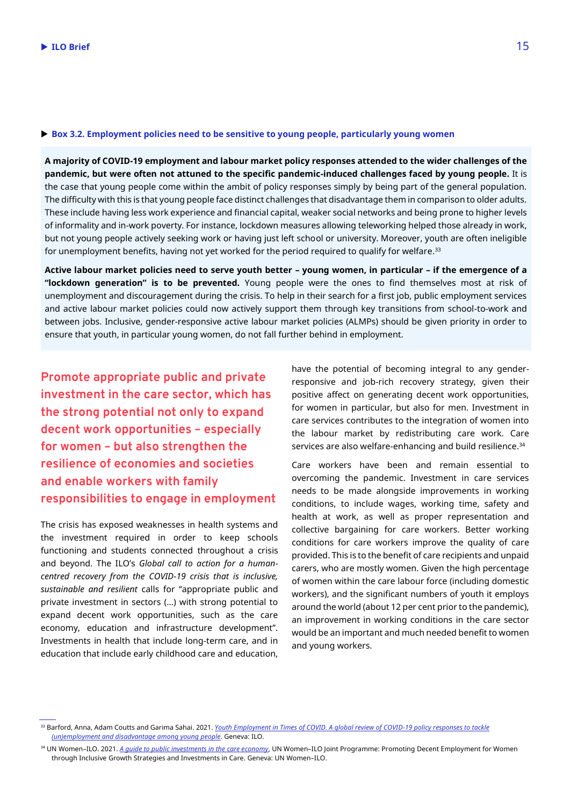#### **Box 3.2. Employment policies need to be sensitive to young people, particularly young women**

**A majority of COVID-19 employment and labour market policy responses attended to the wider challenges of the pandemic, but were often not attuned to the specific pandemic-induced challenges faced by young people.** It is the case that young people come within the ambit of policy responses simply by being part of the general population. The difficulty with this is that young people face distinct challenges that disadvantage them in comparison to older adults. These include having less work experience and financial capital, weaker social networks and being prone to higher levels of informality and in-work poverty. For instance, lockdown measures allowing teleworking helped those already in work, but not young people actively seeking work or having just left school or university. Moreover, youth are often ineligible for unemployment benefits, having not yet worked for the period required to qualify for welfare. $^{\rm 33}$ 

**Active labour market policies need to serve youth better – young women, in particular – if the emergence of a "lockdown generation" is to be prevented.** Young people were the ones to find themselves most at risk of unemployment and discouragement during the crisis. To help in their search for a first job, public employment services and active labour market policies could now actively support them through key transitions from school-to-work and between jobs. Inclusive, gender-responsive active labour market policies (ALMPs) should be given priority in order to ensure that youth, in particular young women, do not fall further behind in employment.

**Promote appropriate public and private investment in the care sector, which has the strong potential not only to expand decent work opportunities – especially for women – but also strengthen the resilience of economies and societies and enable workers with family responsibilities to engage in employment** 

The crisis has exposed weaknesses in health systems and the investment required in order to keep schools functioning and students connected throughout a crisis and beyond. The ILO's *Global call to action for a humancentred recovery from the COVID-19 crisis that is inclusive, sustainable and resilient* calls for "appropriate public and private investment in sectors (…) with strong potential to expand decent work opportunities, such as the care economy, education and infrastructure development". Investments in health that include long-term care, and in education that include early childhood care and education,

have the potential of becoming integral to any genderresponsive and job-rich recovery strategy, given their positive affect on generating decent work opportunities, for women in particular, but also for men. Investment in care services contributes to the integration of women into the labour market by redistributing care work. Care services are also welfare-enhancing and build resilience. 34

Care workers have been and remain essential to overcoming the pandemic. Investment in care services needs to be made alongside improvements in working conditions, to include wages, working time, safety and health at work, as well as proper representation and collective bargaining for care workers. Better working conditions for care workers improve the quality of care provided. This is to the benefit of care recipients and unpaid carers, who are mostly women. Given the high percentage of women within the care labour force (including domestic workers), and the significant numbers of youth it employs around the world (about 12 per cent prior to the pandemic), an improvement in working conditions in the care sector would be an important and much needed benefit to women and young workers.

<sup>&</sup>lt;sup>33</sup> Barford, Anna, Adam Coutts and Garima Sahai. 2021. *Youth Employment in Times of COVID. A global review of COVID-19 policy responses to tackle [\(un\)employment and disadvantage among young people](https://www.ilo.org/skills/pubs/WCMS_823751/lang--en/index.htm)*. Geneva: ILO.

<sup>34</sup> UN Women–ILO. 2021. *[A guide to public investments in the care economy](https://www.ilo.org/employment/Whatwedo/Publications/WCMS_767029/lang--en/index.htm)*, UN Women–ILO Joint Programme: Promoting Decent Employment for Women through Inclusive Growth Strategies and Investments in Care. Geneva: UN Women–ILO.